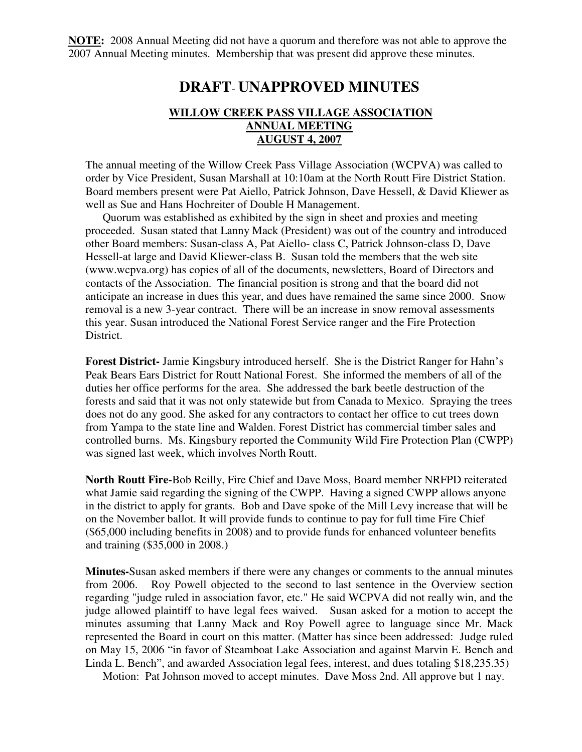**NOTE:** 2008 Annual Meeting did not have a quorum and therefore was not able to approve the 2007 Annual Meeting minutes. Membership that was present did approve these minutes.

## **DRAFT**- **UNAPPROVED MINUTES**

## **WILLOW CREEK PASS VILLAGE ASSOCIATION ANNUAL MEETING AUGUST 4, 2007**

The annual meeting of the Willow Creek Pass Village Association (WCPVA) was called to order by Vice President, Susan Marshall at 10:10am at the North Routt Fire District Station. Board members present were Pat Aiello, Patrick Johnson, Dave Hessell, & David Kliewer as well as Sue and Hans Hochreiter of Double H Management.

Quorum was established as exhibited by the sign in sheet and proxies and meeting proceeded. Susan stated that Lanny Mack (President) was out of the country and introduced other Board members: Susan-class A, Pat Aiello- class C, Patrick Johnson-class D, Dave Hessell-at large and David Kliewer-class B. Susan told the members that the web site (www.wcpva.org) has copies of all of the documents, newsletters, Board of Directors and contacts of the Association. The financial position is strong and that the board did not anticipate an increase in dues this year, and dues have remained the same since 2000. Snow removal is a new 3-year contract. There will be an increase in snow removal assessments this year. Susan introduced the National Forest Service ranger and the Fire Protection District.

**Forest District-** Jamie Kingsbury introduced herself. She is the District Ranger for Hahn's Peak Bears Ears District for Routt National Forest. She informed the members of all of the duties her office performs for the area. She addressed the bark beetle destruction of the forests and said that it was not only statewide but from Canada to Mexico. Spraying the trees does not do any good. She asked for any contractors to contact her office to cut trees down from Yampa to the state line and Walden. Forest District has commercial timber sales and controlled burns. Ms. Kingsbury reported the Community Wild Fire Protection Plan (CWPP) was signed last week, which involves North Routt.

**North Routt Fire-**Bob Reilly, Fire Chief and Dave Moss, Board member NRFPD reiterated what Jamie said regarding the signing of the CWPP. Having a signed CWPP allows anyone in the district to apply for grants. Bob and Dave spoke of the Mill Levy increase that will be on the November ballot. It will provide funds to continue to pay for full time Fire Chief (\$65,000 including benefits in 2008) and to provide funds for enhanced volunteer benefits and training (\$35,000 in 2008.)

**Minutes-**Susan asked members if there were any changes or comments to the annual minutes from 2006. Roy Powell objected to the second to last sentence in the Overview section regarding "judge ruled in association favor, etc." He said WCPVA did not really win, and the judge allowed plaintiff to have legal fees waived. Susan asked for a motion to accept the minutes assuming that Lanny Mack and Roy Powell agree to language since Mr. Mack represented the Board in court on this matter. (Matter has since been addressed: Judge ruled on May 15, 2006 "in favor of Steamboat Lake Association and against Marvin E. Bench and Linda L. Bench", and awarded Association legal fees, interest, and dues totaling \$18,235.35)

Motion: Pat Johnson moved to accept minutes. Dave Moss 2nd. All approve but 1 nay.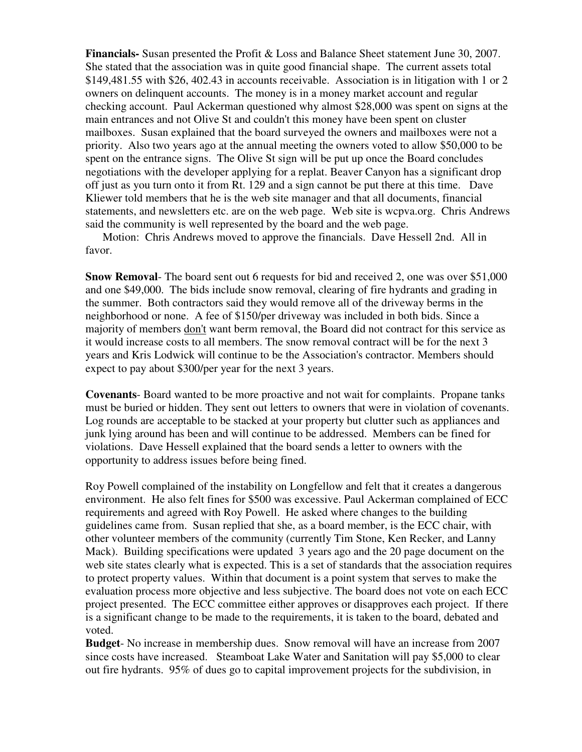**Financials-** Susan presented the Profit & Loss and Balance Sheet statement June 30, 2007. She stated that the association was in quite good financial shape. The current assets total \$149,481.55 with \$26, 402.43 in accounts receivable. Association is in litigation with 1 or 2 owners on delinquent accounts. The money is in a money market account and regular checking account. Paul Ackerman questioned why almost \$28,000 was spent on signs at the main entrances and not Olive St and couldn't this money have been spent on cluster mailboxes. Susan explained that the board surveyed the owners and mailboxes were not a priority. Also two years ago at the annual meeting the owners voted to allow \$50,000 to be spent on the entrance signs. The Olive St sign will be put up once the Board concludes negotiations with the developer applying for a replat. Beaver Canyon has a significant drop off just as you turn onto it from Rt. 129 and a sign cannot be put there at this time. Dave Kliewer told members that he is the web site manager and that all documents, financial statements, and newsletters etc. are on the web page. Web site is wcpva.org. Chris Andrews said the community is well represented by the board and the web page.

Motion: Chris Andrews moved to approve the financials. Dave Hessell 2nd. All in favor.

**Snow Removal**- The board sent out 6 requests for bid and received 2, one was over \$51,000 and one \$49,000. The bids include snow removal, clearing of fire hydrants and grading in the summer. Both contractors said they would remove all of the driveway berms in the neighborhood or none. A fee of \$150/per driveway was included in both bids. Since a majority of members don't want berm removal, the Board did not contract for this service as it would increase costs to all members. The snow removal contract will be for the next 3 years and Kris Lodwick will continue to be the Association's contractor. Members should expect to pay about \$300/per year for the next 3 years.

**Covenants**- Board wanted to be more proactive and not wait for complaints. Propane tanks must be buried or hidden. They sent out letters to owners that were in violation of covenants. Log rounds are acceptable to be stacked at your property but clutter such as appliances and junk lying around has been and will continue to be addressed. Members can be fined for violations. Dave Hessell explained that the board sends a letter to owners with the opportunity to address issues before being fined.

Roy Powell complained of the instability on Longfellow and felt that it creates a dangerous environment. He also felt fines for \$500 was excessive. Paul Ackerman complained of ECC requirements and agreed with Roy Powell. He asked where changes to the building guidelines came from. Susan replied that she, as a board member, is the ECC chair, with other volunteer members of the community (currently Tim Stone, Ken Recker, and Lanny Mack). Building specifications were updated 3 years ago and the 20 page document on the web site states clearly what is expected. This is a set of standards that the association requires to protect property values. Within that document is a point system that serves to make the evaluation process more objective and less subjective. The board does not vote on each ECC project presented. The ECC committee either approves or disapproves each project. If there is a significant change to be made to the requirements, it is taken to the board, debated and voted.

**Budget**- No increase in membership dues. Snow removal will have an increase from 2007 since costs have increased. Steamboat Lake Water and Sanitation will pay \$5,000 to clear out fire hydrants. 95% of dues go to capital improvement projects for the subdivision, in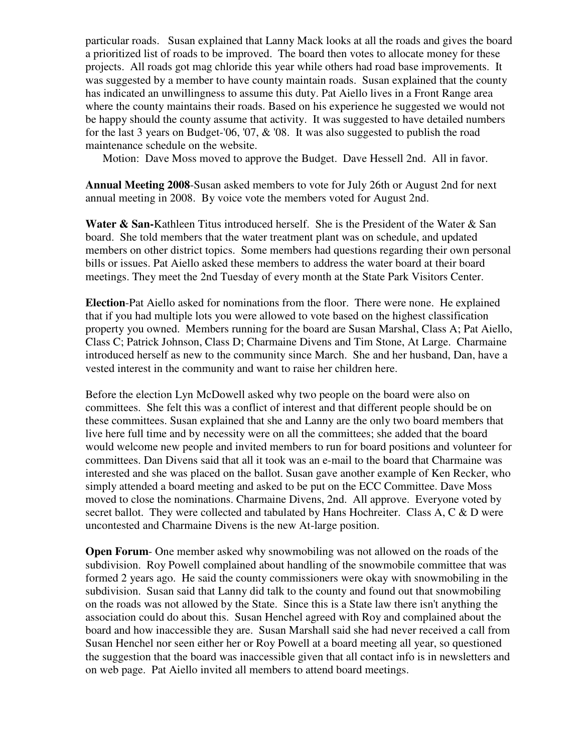particular roads. Susan explained that Lanny Mack looks at all the roads and gives the board a prioritized list of roads to be improved. The board then votes to allocate money for these projects. All roads got mag chloride this year while others had road base improvements. It was suggested by a member to have county maintain roads. Susan explained that the county has indicated an unwillingness to assume this duty. Pat Aiello lives in a Front Range area where the county maintains their roads. Based on his experience he suggested we would not be happy should the county assume that activity. It was suggested to have detailed numbers for the last 3 years on Budget-'06, '07,  $\&$  '08. It was also suggested to publish the road maintenance schedule on the website.

Motion: Dave Moss moved to approve the Budget. Dave Hessell 2nd. All in favor.

**Annual Meeting 2008**-Susan asked members to vote for July 26th or August 2nd for next annual meeting in 2008. By voice vote the members voted for August 2nd.

**Water & San-**Kathleen Titus introduced herself. She is the President of the Water & San board. She told members that the water treatment plant was on schedule, and updated members on other district topics. Some members had questions regarding their own personal bills or issues. Pat Aiello asked these members to address the water board at their board meetings. They meet the 2nd Tuesday of every month at the State Park Visitors Center.

**Election**-Pat Aiello asked for nominations from the floor. There were none. He explained that if you had multiple lots you were allowed to vote based on the highest classification property you owned. Members running for the board are Susan Marshal, Class A; Pat Aiello, Class C; Patrick Johnson, Class D; Charmaine Divens and Tim Stone, At Large. Charmaine introduced herself as new to the community since March. She and her husband, Dan, have a vested interest in the community and want to raise her children here.

Before the election Lyn McDowell asked why two people on the board were also on committees. She felt this was a conflict of interest and that different people should be on these committees. Susan explained that she and Lanny are the only two board members that live here full time and by necessity were on all the committees; she added that the board would welcome new people and invited members to run for board positions and volunteer for committees. Dan Divens said that all it took was an e-mail to the board that Charmaine was interested and she was placed on the ballot. Susan gave another example of Ken Recker, who simply attended a board meeting and asked to be put on the ECC Committee. Dave Moss moved to close the nominations. Charmaine Divens, 2nd. All approve. Everyone voted by secret ballot. They were collected and tabulated by Hans Hochreiter. Class A, C & D were uncontested and Charmaine Divens is the new At-large position.

**Open Forum**- One member asked why snowmobiling was not allowed on the roads of the subdivision. Roy Powell complained about handling of the snowmobile committee that was formed 2 years ago. He said the county commissioners were okay with snowmobiling in the subdivision. Susan said that Lanny did talk to the county and found out that snowmobiling on the roads was not allowed by the State. Since this is a State law there isn't anything the association could do about this. Susan Henchel agreed with Roy and complained about the board and how inaccessible they are. Susan Marshall said she had never received a call from Susan Henchel nor seen either her or Roy Powell at a board meeting all year, so questioned the suggestion that the board was inaccessible given that all contact info is in newsletters and on web page. Pat Aiello invited all members to attend board meetings.